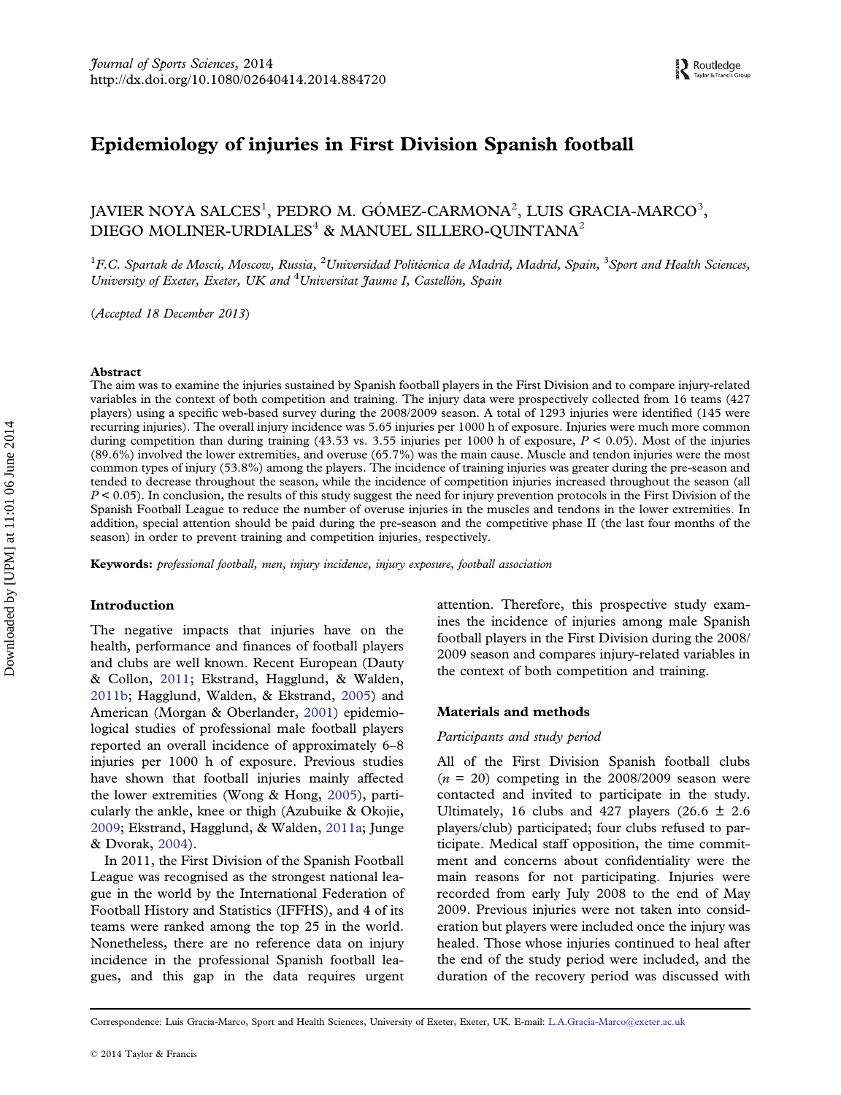# Epidemiology of injuries in First Division Spanish football

## JAVIER NOYA SALCES $^1$ , PEDRO M. GÓMEZ-CARMONA $^2$ , LUIS GRACIA-MARCO $^3$ , DIEGO MOLINER-URDIALES<sup>4</sup> & MANUEL SILLERO-QUINTANA<sup>2</sup>

<sup>1</sup>F.C. Spartak de Moscú, Moscow, Russia, <sup>2</sup>Universidad Politécnica de Madrid, Madrid, Spain, <sup>3</sup>Sport and Health Sciences, University of Exeter, Exeter, UK and <sup>4</sup>Universitat Jaume I, Castellón, Spain

(Accepted 18 December 2013)

#### Abstract

The aim was to examine the injuries sustained by Spanish football players in the First Division and to compare injury-related variables in the context of both competition and training. The injury data were prospectively collected from 16 teams (427 players) using a specific web-based survey during the 2008/2009 season. A total of 1293 injuries were identified (145 were recurring injuries). The overall injury incidence was 5.65 injuries per 1000 h of exposure. Injuries were much more common during competition than during training (43.53 vs. 3.55 injuries per 1000 h of exposure,  $P < 0.05$ ). Most of the injuries (89.6%) involved the lower extremities, and overuse (65.7%) was the main cause. Muscle and tendon injuries were the most common types of injury (53.8%) among the players. The incidence of training injuries was greater during the pre-season and tended to decrease throughout the season, while the incidence of competition injuries increased throughout the season (all  $P < 0.05$ ). In conclusion, the results of this study suggest the need for injury prevention protocols in the First Division of the Spanish Football League to reduce the number of overuse injuries in the muscles and tendons in the lower extremities. In addition, special attention should be paid during the pre-season and the competitive phase II (the last four months of the season) in order to prevent training and competition injuries, respectively.

Keywords: professional football, men, injury incidence, injury exposure, football association

## Introduction

The negative impacts that injuries have on the health, performance and finances of football players and clubs are well known. Recent European (Dauty & Collon, [2011](#page-7-0); Ekstrand, Hagglund, & Walden, [2011b](#page-7-0); Hagglund, Walden, & Ekstrand, [2005](#page-7-0)) and American (Morgan & Oberlander, [2001](#page-7-0)) epidemiological studies of professional male football players reported an overall incidence of approximately 6–8 injuries per 1000 h of exposure. Previous studies have shown that football injuries mainly affected the lower extremities (Wong & Hong, [2005](#page-7-0)), particularly the ankle, knee or thigh (Azubuike & Okojie, [2009;](#page-7-0) Ekstrand, Hagglund, & Walden, [2011a;](#page-7-0) Junge & Dvorak, [2004\)](#page-7-0).

In 2011, the First Division of the Spanish Football League was recognised as the strongest national league in the world by the International Federation of Football History and Statistics (IFFHS), and 4 of its teams were ranked among the top 25 in the world. Nonetheless, there are no reference data on injury incidence in the professional Spanish football leagues, and this gap in the data requires urgent

attention. Therefore, this prospective study examines the incidence of injuries among male Spanish football players in the First Division during the 2008/ 2009 season and compares injury-related variables in the context of both competition and training.

#### Materials and methods

#### Participants and study period

All of the First Division Spanish football clubs  $(n = 20)$  competing in the 2008/2009 season were contacted and invited to participate in the study. Ultimately, 16 clubs and 427 players  $(26.6 \pm 2.6)$ players/club) participated; four clubs refused to participate. Medical staff opposition, the time commitment and concerns about confidentiality were the main reasons for not participating. Injuries were recorded from early July 2008 to the end of May 2009. Previous injuries were not taken into consideration but players were included once the injury was healed. Those whose injuries continued to heal after the end of the study period were included, and the duration of the recovery period was discussed with

Correspondence: Luis Gracia-Marco, Sport and Health Sciences, University of Exeter, Exeter, UK. E-mail: L.A.Gracia-Marco@exeter.ac.uk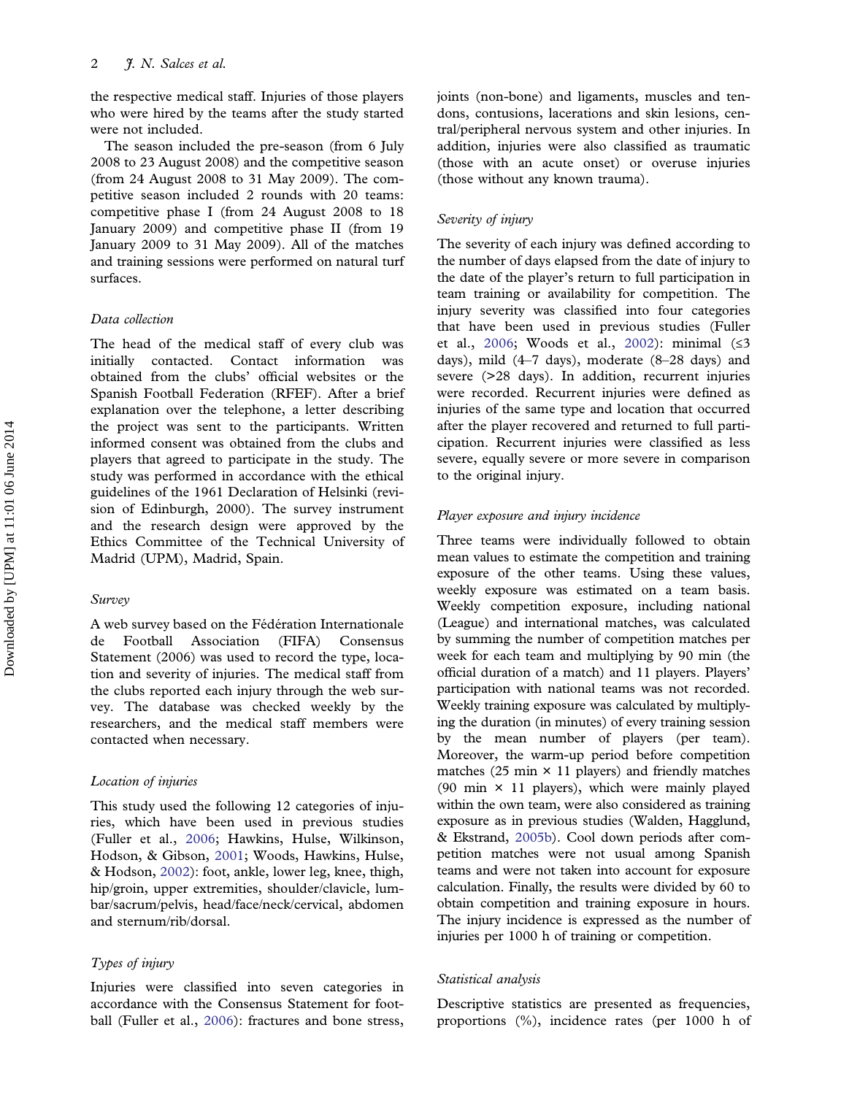the respective medical staff. Injuries of those players who were hired by the teams after the study started were not included.

The season included the pre-season (from 6 July 2008 to 23 August 2008) and the competitive season (from 24 August 2008 to 31 May 2009). The competitive season included 2 rounds with 20 teams: competitive phase I (from 24 August 2008 to 18 January 2009) and competitive phase II (from 19 January 2009 to 31 May 2009). All of the matches and training sessions were performed on natural turf surfaces.

## Data collection

The head of the medical staff of every club was initially contacted. Contact information was obtained from the clubs' official websites or the Spanish Football Federation (RFEF). After a brief explanation over the telephone, a letter describing the project was sent to the participants. Written informed consent was obtained from the clubs and players that agreed to participate in the study. The study was performed in accordance with the ethical guidelines of the 1961 Declaration of Helsinki (revision of Edinburgh, 2000). The survey instrument and the research design were approved by the Ethics Committee of the Technical University of Madrid (UPM), Madrid, Spain.

#### Survey

A web survey based on the Fédération Internationale de Football Association (FIFA) Consensus Statement (2006) was used to record the type, location and severity of injuries. The medical staff from the clubs reported each injury through the web survey. The database was checked weekly by the researchers, and the medical staff members were contacted when necessary.

#### Location of injuries

This study used the following 12 categories of injuries, which have been used in previous studies (Fuller et al., [2006](#page-7-0); Hawkins, Hulse, Wilkinson, Hodson, & Gibson, [2001](#page-7-0); Woods, Hawkins, Hulse, & Hodson, [2002\)](#page-7-0): foot, ankle, lower leg, knee, thigh, hip/groin, upper extremities, shoulder/clavicle, lumbar/sacrum/pelvis, head/face/neck/cervical, abdomen and sternum/rib/dorsal.

## Types of injury

Injuries were classified into seven categories in accordance with the Consensus Statement for football (Fuller et al., [2006](#page-7-0)): fractures and bone stress, joints (non-bone) and ligaments, muscles and tendons, contusions, lacerations and skin lesions, central/peripheral nervous system and other injuries. In addition, injuries were also classified as traumatic (those with an acute onset) or overuse injuries (those without any known trauma).

## Severity of injury

The severity of each injury was defined according to the number of days elapsed from the date of injury to the date of the player's return to full participation in team training or availability for competition. The injury severity was classified into four categories that have been used in previous studies (Fuller et al., [2006](#page-7-0); Woods et al., [2002](#page-7-0)): minimal (≤3 days), mild (4–7 days), moderate (8–28 days) and severe (>28 days). In addition, recurrent injuries were recorded. Recurrent injuries were defined as injuries of the same type and location that occurred after the player recovered and returned to full participation. Recurrent injuries were classified as less severe, equally severe or more severe in comparison to the original injury.

#### Player exposure and injury incidence

Three teams were individually followed to obtain mean values to estimate the competition and training exposure of the other teams. Using these values, weekly exposure was estimated on a team basis. Weekly competition exposure, including national (League) and international matches, was calculated by summing the number of competition matches per week for each team and multiplying by 90 min (the official duration of a match) and 11 players. Players' participation with national teams was not recorded. Weekly training exposure was calculated by multiplying the duration (in minutes) of every training session by the mean number of players (per team). Moreover, the warm-up period before competition matches (25 min  $\times$  11 players) and friendly matches (90 min  $\times$  11 players), which were mainly played within the own team, were also considered as training exposure as in previous studies (Walden, Hagglund, & Ekstrand, [2005b\)](#page-7-0). Cool down periods after competition matches were not usual among Spanish teams and were not taken into account for exposure calculation. Finally, the results were divided by 60 to obtain competition and training exposure in hours. The injury incidence is expressed as the number of injuries per 1000 h of training or competition.

## Statistical analysis

Descriptive statistics are presented as frequencies, proportions (%), incidence rates (per 1000 h of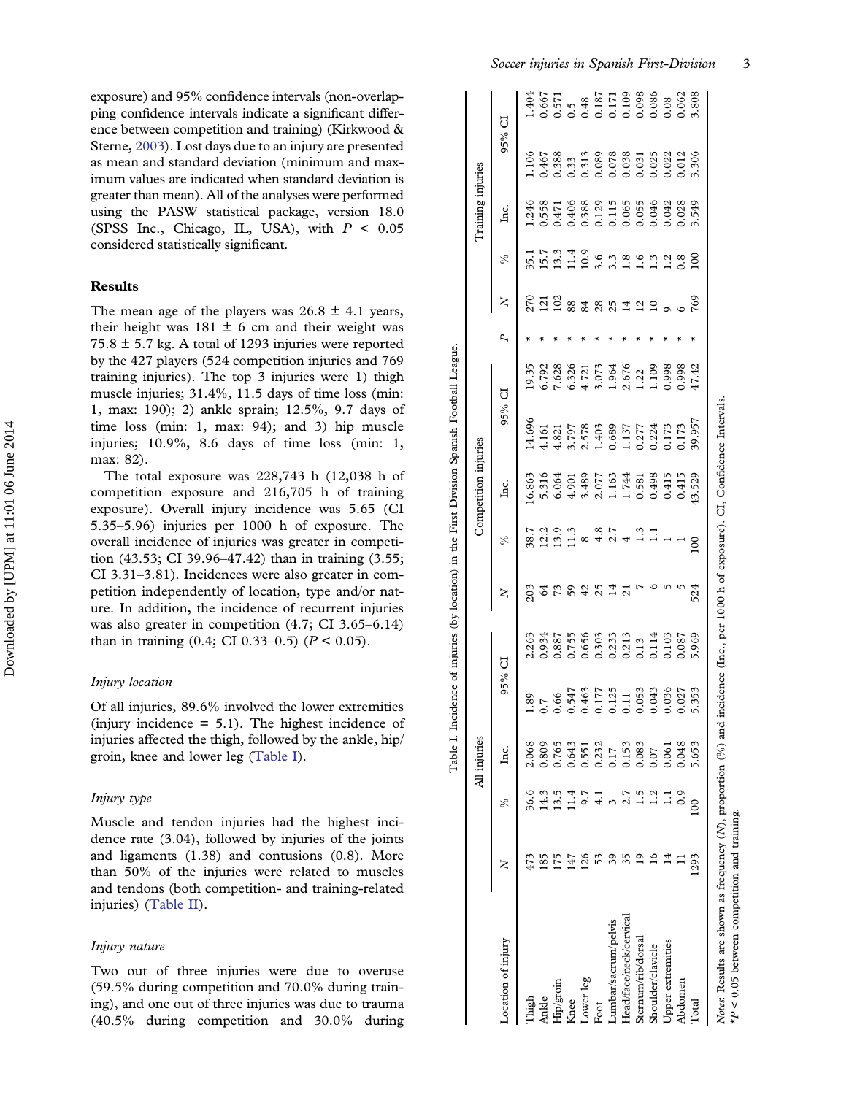exposure) and 95% con fidence intervals (non-overlapping confidence intervals indicate a significant difference between competition and training) (Kirkwood & Sterne, [2003](#page-7-0)). Lost days due to an injury are presented as mean and standard deviation (minimum and maximum values are indicated when standard deviation is greater than mean). All of the analyses were performed using the PASW statistical package, version 18.0 (SPSS Inc., Chicago, IL, USA), with  $P < 0.05$ considered statistically signi ficant.

## Results

The mean age of the players was  $26.8 \pm 4.1$  years, their height was  $181 \pm 6$  cm and their weight was 75.8  $\pm$  5.7 kg. A total of 1293 injuries were reported by the 427 players (524 competition injuries and 769 training injuries). The top 3 injuries were 1) thigh muscle injuries; 31.4%, 11.5 days of time loss (min: 1, max: 190); 2) ankle sprain; 12.5%, 9.7 days of time loss (min: 1, max: 94); and 3) hip muscle injuries; 10.9%, 8.6 days of time loss (min: 1, max: 82).

The total exposure was 228,743 h (12,038 h of competition exposure and 216,705 h of training exposure). Overall injury incidence was 5.65 (CI 5.35 –5.96) injuries per 1000 h of exposure. The overall incidence of injuries was greater in competition (43.53; CI 39.96–47.42) than in training (3.55; CI 3.31 –3.81). Incidences were also greater in competition independently of location, type and/or nature. In addition, the incidence of recurrent injuries was also greater in competition (4.7; CI 3.65 –6.14) than in training  $(0.4; CI\ 0.33-0.5)$   $(P < 0.05)$ .

#### Injury location

Of all injuries, 89.6% involved the lower extremities (injury incidence  $= 5.1$ ). The highest incidence of injuries affected the thigh, followed by the ankle, hip/ groin, knee and lower leg (Table I).

#### Injury type

Muscle and tendon injuries had the highest incidence rate (3.04), followed by injuries of the joints and ligaments (1.38) and contusions (0.8). More than 50% of the injuries were related to muscles and tendons (both competition- and training-related injuries) [\(Table II\)](#page-3-0).

#### Injury nature

Two out of three injuries were due to overuse (59.5% during competition and 70.0% during training), and one out of three injuries was due to trauma (40.5% during competition and 30.0% during

0.187<br>0.109<br>0.000.000<br>0.000<br>0.000<br>0.002 Thigh 473 36.6 2.068 2.068 1.89 2.263 2.263 14.896 14.696 14.696 19.35 \* 270 35.1 1.246 1.106 1.404 0.667<br>0.571 0.48 Head/face/neck/cervical 35 35 2.7 0.153 0.153 2.1 4 1.744 1.137 2.676 \* 14 1.8 0.05 0.038 0.038 Sternum/rib/dorsal 19 1.5 0.083 0.083 0.053 0.13 0.581 0.277 1.22 \* 12 1.6 0.055 0.031 0.098 Shoulder/clavicle 16 1.2 0.075 1.2 0.043 0.043 0.493 0.493 0.493 0.224 1.10 1.3 1.3 0.025 0.025 0.025 0.086 Abdomen 11 0.9 0.048 0.027 0.087 5 1 0.415 0.173 0.998 \* 6 0.8 0.028 0.012 0.062 Total 1293 100 5.653 5.353 5.969 524 100 43.529 39.957 47.42 \* 769 100 3.549 3.306 3.808 Ankle 185 14.3 0.809 0.7 0.934 64 12.2 5.316 4.161 6.792 \* 121 15.7 0.558 0.467 0.667 Hip/groin 175 13.5 0.765 0.66 0.887 73 13.9 6.064 4.821 7.628 \* 102 13.3 0.471 0.388 0.571 Foot 53 4.1 0.232 0.303 4.8 4.8 4.8 1.403 3.073 \* 28 3.029 0.187 0.187 Lumbar/sacrum/pelvis 39 3 0.17 0.125 0.233 14 2.7 1.163 0.689 1.964 \* 25 3.3 0.115 0.078 0.171  $^{1.5}$ Lower leg 126 9.7 0.551 0.551 0.463 42 8 3.578 4.721 \* 84 84 0.313 0.313 0.489 Upper extremities 14 1.1 0.061 0.036 0.103 5 1 0.415 0.173 0.998 \* 9 1.2 0.042 0.022 0.08 Knee 147 11.4 0.643 0.547 0.755 59 11.3 4.901 3.797 6.326 \* 88 11.4 0.406 0.33 0.5  $\overline{C}$ Location of injury N % Inc. 95% CI N % Inc. 95% CI P N % Inc. 95% CI 95% 0.089 0.078 0.038 0.025 0.022 0.012<br>3.306 1.106 0.467 0.388 0.313 0.031 0.33 Training injuries All injuries Competition injuries Training injuries 0.406 0.388 0.129 0.115 0.065 0.055 0.042 0.028<br>3.549 0.558  $.246$ 0.471 Lnc.  $\frac{4}{11}$  $0.9$ 5.7 3.6  $\infty$  $\ddot{\circ}$  $\overline{a}$  $\%$  $3.3$  $\dot{\omega}$  $\frac{8}{100}$  $\bar{\mathbf{z}}$  $102$  $\overline{21}$  $\begin{array}{c} 24800000 \\ 25800000 \\ 2560000 \\ \end{array}$ 88  $\overline{P}$ 7.628 6.326 3.073 1.964<br>2.676  $\begin{array}{c} 1.109 \\ 0.998 \\ 0.998 \\ 0.998 \\ \hline \end{array}$ 6.792 .721  $\ddot{c}$  $\overline{C}$ 95% 39.957 14.696 0.173 0.173 3.797 2.578 1.403 0.689 1.137 0.277 0.224 4.161 1.821 Competition injuries 5.316 0.498 0.415 0.415 13.529 6.863 6.064 4.901 \$.489  $.163$  $.744$ 0.581 2.077 Lnc.  $\frac{2}{3}$  $\ddot{3}$ . <u>ن</u><br>11  $\geqslant$ 59 524  $\geq$  $\Im$ 0.303 0.213 0.114 0.103 0.087<br>5.969 0.934 0.887 0.755 0.656 0.233 0.13  $\overline{C}$ 95% 0.043 0.036 0.463 0.027<br>5.353  $0.547$ 0.177 0.125 0.053 0.66  $0.11$  $.89$ All injuries 0.048 0.809 0.765 0.643 0.551 0.232 0.153 0.083 0.061 2.068  $0.07$ Ιnς. 0.17  $\geqslant$  $\frac{11}{293}$ 185 47  $\mathfrak{L}$  $\bar{\mathbf{z}}$ Head/face/neck/cervica umbar/sacrum/pelvis Sternum/rib/dorsal ocation of injury *<u>J</u>pper* extremities Shoulder/clavicle  $\text{Hip/groin}$ ower leg Abdomen Ankle Thigh Knee Foot Total

Table I. Incidence of injuries (by location) in the First Division Spanish Football League.

Table I. Incidence of injuries (by location) in the First Division Spanish Football League.

Notes: Results are shown as frequency (N), proportion (%) and incidence (Inc., per 1000 h of exposure). CI, Confidence Intervals. Votes: Results are shown as frequency (N), proportion (%) and incidence (Inc., per 1000 h of exposure). CI, Confidence Intervals  $kP$  < 0.05 between competition and training.  $*P < 0.05$  between competition and training.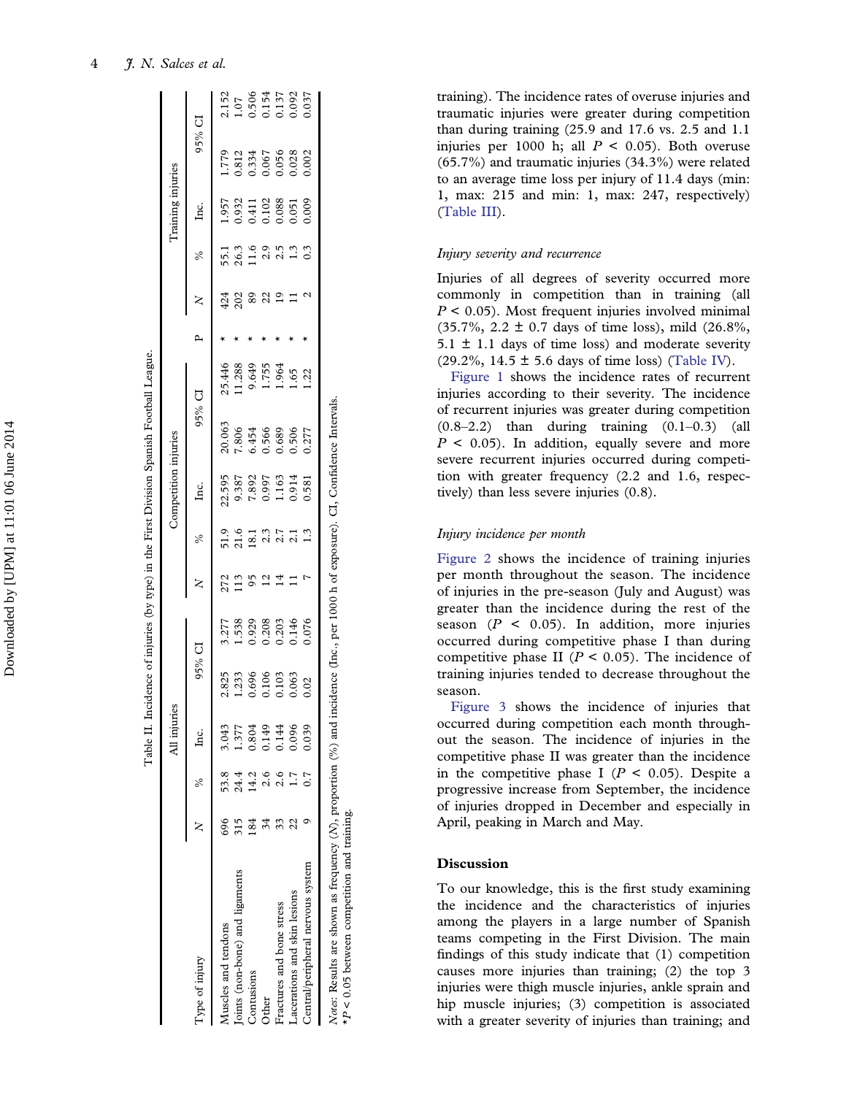<span id="page-3-0"></span>

|                                                                                                                                   |           |                  | All injuries |                                  |                                              |               |                      | Competition injuries             |                         |        |                  |                      | Training injuries                                                        |                                           |                                                                          |
|-----------------------------------------------------------------------------------------------------------------------------------|-----------|------------------|--------------|----------------------------------|----------------------------------------------|---------------|----------------------|----------------------------------|-------------------------|--------|------------------|----------------------|--------------------------------------------------------------------------|-------------------------------------------|--------------------------------------------------------------------------|
| Type of injury                                                                                                                    |           |                  | hc.          | 95% CI                           |                                              | ζ             | ℅                    | Inc.                             | 95% CI                  |        | $\mathsf{z}$     | $\frac{5}{6}$        | Inc.                                                                     | 95% CI                                    |                                                                          |
| Muscles and tendons                                                                                                               | 696       | 53.8             | 3.043        | 2.825                            |                                              | 272           |                      | 22.595                           | 20.063                  | 25.446 | 424              |                      | 1.957                                                                    | 1.779                                     |                                                                          |
| Joints (non-bone) and ligaments                                                                                                   | 315       | 24.4             | 1.377        | 1.233                            | $3.277$<br>1.538<br>1.5208<br>0.203<br>0.146 | 13            | 51.6<br>21.6<br>18.1 | 9.387                            | 7.806                   | 1.288  |                  | 55.1<br>26.3<br>11.6 |                                                                          |                                           | $2.152$<br>$1.07$<br>$0.506$<br>$0.154$<br>$0.137$<br>$0.092$<br>$0.037$ |
| Contusions                                                                                                                        | $\approx$ | 14.2             | 0.804        |                                  |                                              | 95            |                      |                                  | 6.454<br>0.566<br>0.689 | 9.649  | $\frac{202}{89}$ |                      |                                                                          |                                           |                                                                          |
| Other                                                                                                                             |           | $\frac{6}{2}$    | 0.149        | 0.696<br>0.106<br>0.103<br>0.063 |                                              | $\frac{2}{1}$ | $2.\overline{3}$     | 7.892<br>0.997<br>1.163<br>1.163 |                         | 1.755  | 22               |                      |                                                                          |                                           |                                                                          |
| Fractures and bone stress                                                                                                         |           | $\frac{6}{2}$    | 0.144        |                                  |                                              |               | 2.7                  |                                  |                         | 1.964  |                  | $2.9$<br>$2.5$       |                                                                          |                                           |                                                                          |
| Lacerations and skin lesions                                                                                                      |           |                  | 0.096        |                                  |                                              |               | $\overline{2.1}$     |                                  | 0.506                   | 1.65   |                  | $\frac{3}{2}$        | $\begin{array}{c} 0.932 \\ 0.411 \\ 0.102 \\ 0.088 \\ 0.051 \end{array}$ | 0.812<br>0.334<br>0.056<br>0.028<br>0.002 |                                                                          |
| Central/peripheral nervous system                                                                                                 |           | $\overline{0.7}$ | 0.039        | 0.02                             | 0.076                                        |               | 1.3                  | 0.581                            | 0.277                   | 1.22   |                  | $0.\overline{3}$     | 0.009                                                                    |                                           |                                                                          |
| Notes: Results are shown as frequency (N), proportion (%) and incidence (Inc., per 1000 h of exposure). CI, Confidence Intervals. |           |                  |              |                                  |                                              |               |                      |                                  |                         |        |                  |                      |                                                                          |                                           |                                                                          |
| $*P$ < 0.05 between competition and training.                                                                                     |           |                  |              |                                  |                                              |               |                      |                                  |                         |        |                  |                      |                                                                          |                                           |                                                                          |

training). The incidence rates of overuse injuries and traumatic injuries were greater during competition than during training (25.9 and 17.6 vs. 2.5 and 1.1 injuries per 1000 h; all  $P < 0.05$ ). Both overuse (65.7%) and traumatic injuries (34.3%) were related to an average time loss per injury of 11.4 days (min: 1, max: 215 and min: 1, max: 247, respectively) [\(Table III](#page-4-0)).

## Injury severity and recurrence

Injuries of all degrees of severity occurred more commonly in competition than in training (all  $P < 0.05$ ). Most frequent injuries involved minimal  $(35.7\%, 2.2 \pm 0.7)$  days of time loss), mild  $(26.8\%,$ 5.1  $\pm$  1.1 days of time loss) and moderate severity  $(29.2\%, 14.5 \pm 5.6 \text{ days of time loss})$  [\(Table IV](#page-4-0)).

[Figure 1](#page-4-0) shows the incidence rates of recurrent injuries according to their severity. The incidence of recurrent injuries was greater during competition (0.8 –2.2) than during training (0.1 –0.3) (all  $P \leq 0.05$ ). In addition, equally severe and more severe recurrent injuries occurred during competition with greater frequency (2.2 and 1.6, respectively) than less severe injuries (0.8).

### Injury incidence per month

[Figure 2](#page-5-0) shows the incidence of training injuries per month throughout the season. The incidence of injuries in the pre-season (July and August) was greater than the incidence during the rest of the season ( $P < 0.05$ ). In addition, more injuries occurred during competitive phase I than during competitive phase II ( $P < 0.05$ ). The incidence of training injuries tended to decrease throughout the season.

[Figure 3](#page-5-0) shows the incidence of injuries that occurred during competition each month throughout the season. The incidence of injuries in the competitive phase II was greater than the incidence in the competitive phase I ( $P < 0.05$ ). Despite a progressive increase from September, the incidence of injuries dropped in December and especially in April, peaking in March and May.

## Discussion

To our knowledge, this is the first study examining the incidence and the characteristics of injuries among the players in a large number of Spanish teams competing in the First Division. The main findings of this study indicate that (1) competition causes more injuries than training; (2) the top 3 injuries were thigh muscle injuries, ankle sprain and hip muscle injuries; (3) competition is associated with a greater severity of injuries than training; and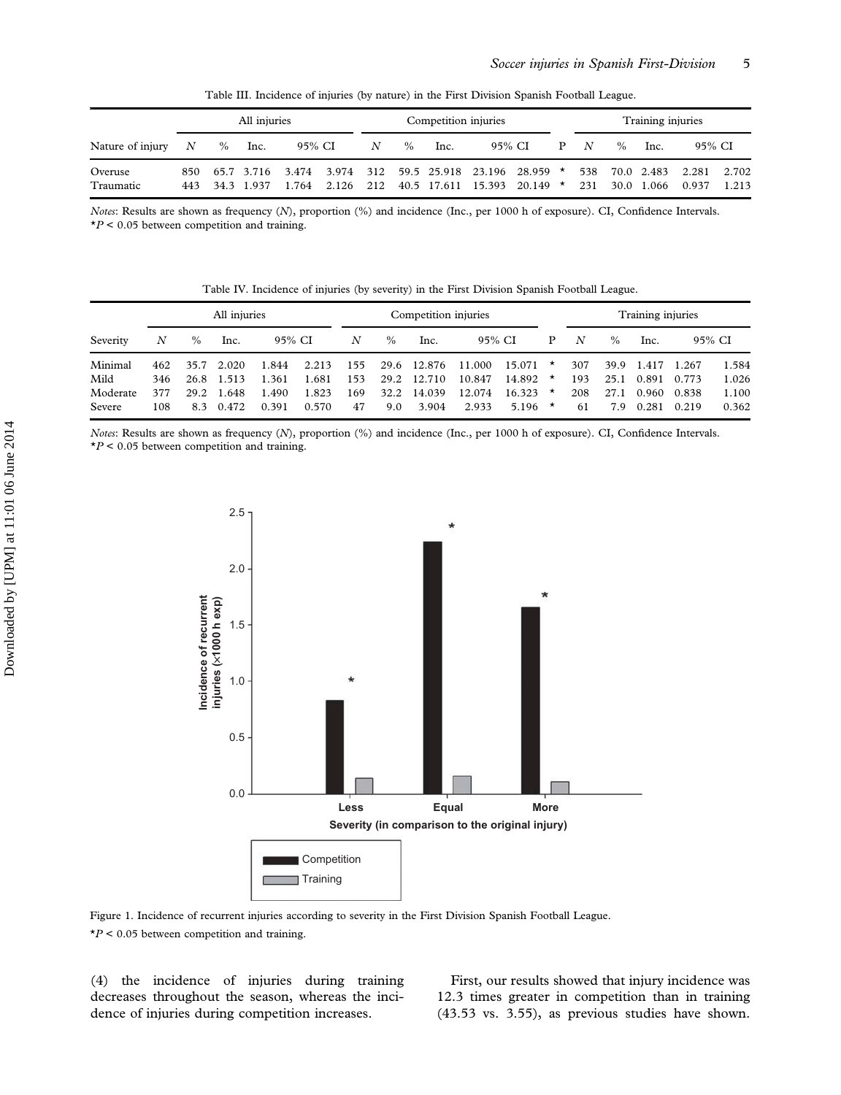Table III. Incidence of injuries (by nature) in the First Division Spanish Football League.

<span id="page-4-0"></span>

|                      |   |               | All injuries   |                               |       | Competition injuries |               |                    |                                         |            |   |                | Training injuries |                          |                |                |  |
|----------------------|---|---------------|----------------|-------------------------------|-------|----------------------|---------------|--------------------|-----------------------------------------|------------|---|----------------|-------------------|--------------------------|----------------|----------------|--|
| Nature of injury     | N | $\frac{0}{0}$ | Inc.           | 95% CI                        |       | N                    | $\frac{0}{0}$ | Inc.               |                                         | 95% CI     | P | $\overline{N}$ | $\frac{0}{0}$     | Inc.                     | 95% CI         |                |  |
| Overuse<br>Traumatic |   |               | 443 34.3 1.937 | 850 65.7 3.716 3.474<br>1.764 | 2.126 | 212                  |               | 40.5 17.611 15.393 | $3.974$ 312 59.5 25.918 23.196 28.959 * | $20.149$ * |   | 538<br>231     |                   | 70.0 2.483<br>30.0 1.066 | 2.281<br>0.937 | 2.702<br>1.213 |  |

Notes: Results are shown as frequency (N), proportion (%) and incidence (Inc., per 1000 h of exposure). CI, Confidence Intervals.  $*P$  < 0.05 between competition and training.

Table IV. Incidence of injuries (by severity) in the First Division Spanish Football League.

|          |     |      | All injuries |        |       |     |      | Competition injuries |        |        |         |     | Training injuries |       |       |        |  |
|----------|-----|------|--------------|--------|-------|-----|------|----------------------|--------|--------|---------|-----|-------------------|-------|-------|--------|--|
| Severity | Ν   | $\%$ | Inc.         | 95% CI |       | N   | $\%$ | Inc.                 | 95% CI |        |         | N   | $\frac{0}{0}$     | Inc.  |       | 95% CI |  |
| Minimal  | 462 |      | 35.7 2.020   | 1.844  | 2.213 | 155 |      | 29.6 12.876          | 11.000 | 15.071 | $\star$ | 307 | 39.9              | 1.417 | 1.267 | 1.584  |  |
| Mild     | 346 |      | 26.8 1.513   | 1.361  | 1.681 | 153 |      | 29.2 12.710          | 10.847 | 14.892 | $\star$ | 193 | 25.1              | 0.891 | 0.773 | 1.026  |  |
| Moderate | 377 | 29.2 | 1.648        | 1.490  | 1.823 | 169 | 32.2 | 14.039               | 12.074 | 16.323 | $\star$ | 208 | 27.1              | 0.960 | 0.838 | 1.100  |  |
| Severe   | 108 | 8.3  | 0.472        | 0.391  | 0.570 | 47  | 9.0  | 3.904                | 2.933  | 5.196  | $\star$ | -61 | 7.9               | 0.281 | 0.219 | 0.362  |  |

Notes: Results are shown as frequency (N), proportion (%) and incidence (Inc., per 1000 h of exposure). CI, Confidence Intervals.  $*P$  < 0.05 between competition and training.



Figure 1. Incidence of recurrent injuries according to severity in the First Division Spanish Football League.  $*P$  < 0.05 between competition and training.

(4) the incidence of injuries during training decreases throughout the season, whereas the incidence of injuries during competition increases.

First, our results showed that injury incidence was 12.3 times greater in competition than in training (43.53 vs. 3.55), as previous studies have shown.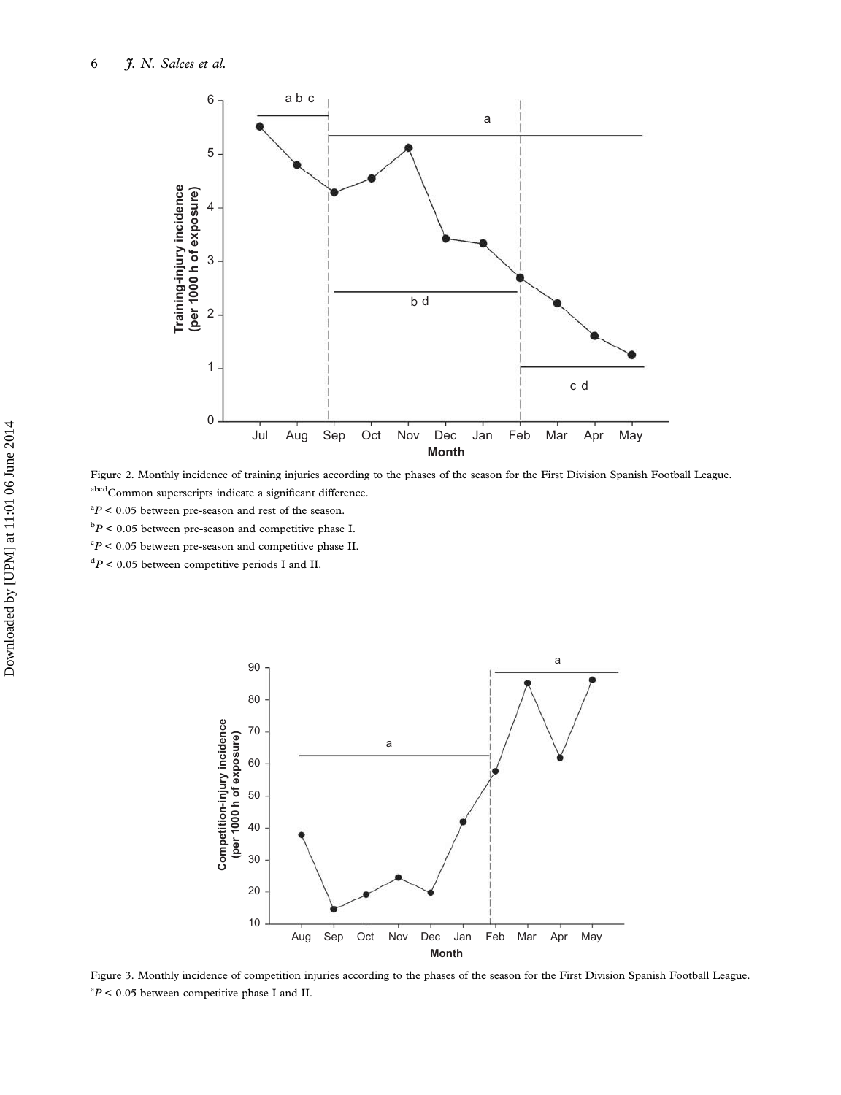<span id="page-5-0"></span>

Figure 2. Monthly incidence of training injuries according to the phases of the season for the First Division Spanish Football League. abcdCommon superscripts indicate a significant difference.

 ${}^{a}P$  < 0.05 between pre-season and rest of the season.

 $bP < 0.05$  between pre-season and competitive phase I.

 $c_P$  < 0.05 between pre-season and competitive phase II.

 ${}^{d}P$  < 0.05 between competitive periods I and II.



Figure 3. Monthly incidence of competition injuries according to the phases of the season for the First Division Spanish Football League.  ${}^{a}P$  < 0.05 between competitive phase I and II.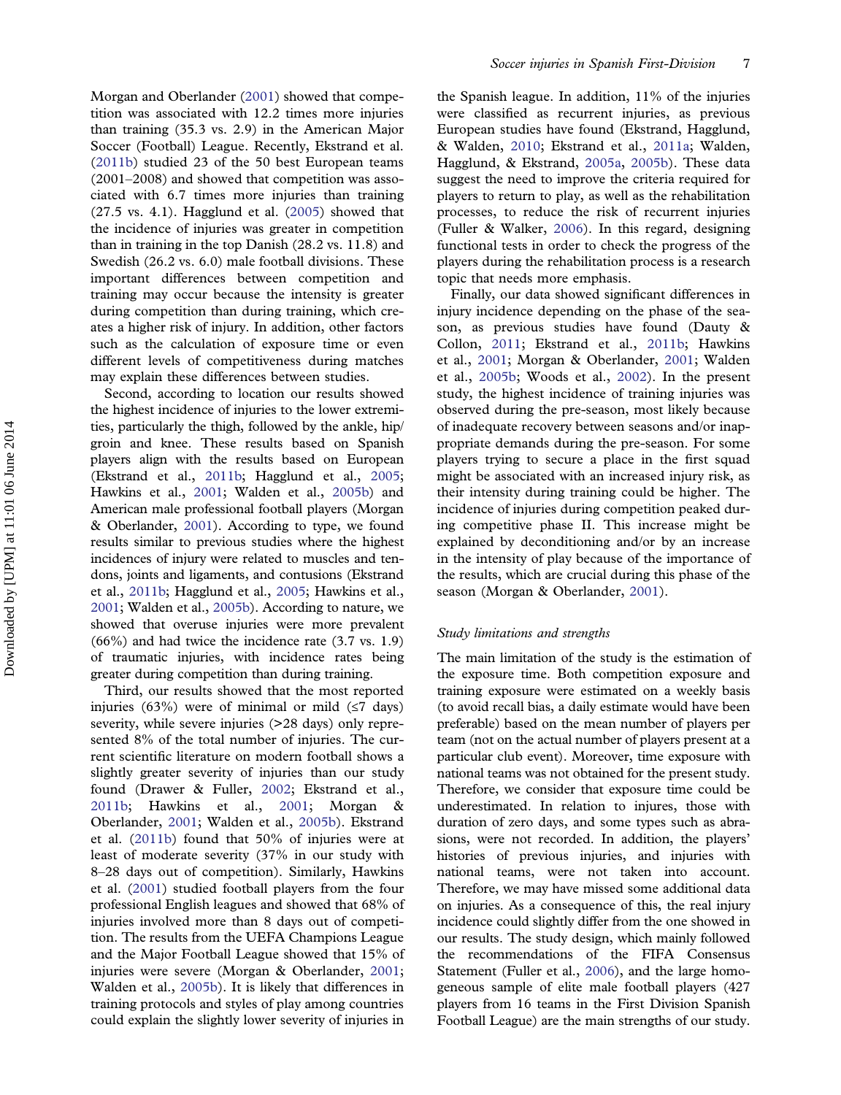Morgan and Oberlander [\(2001](#page-7-0)) showed that competition was associated with 12.2 times more injuries than training (35.3 vs. 2.9) in the American Major Soccer (Football) League. Recently, Ekstrand et al. [\(2011b](#page-7-0)) studied 23 of the 50 best European teams (2001–2008) and showed that competition was associated with 6.7 times more injuries than training  $(27.5 \text{ vs. } 4.1)$ . Hagglund et al.  $(2005)$  showed that the incidence of injuries was greater in competition than in training in the top Danish (28.2 vs. 11.8) and Swedish (26.2 vs. 6.0) male football divisions. These important differences between competition and training may occur because the intensity is greater during competition than during training, which creates a higher risk of injury. In addition, other factors such as the calculation of exposure time or even different levels of competitiveness during matches may explain these differences between studies.

Second, according to location our results showed the highest incidence of injuries to the lower extremities, particularly the thigh, followed by the ankle, hip/ groin and knee. These results based on Spanish players align with the results based on European (Ekstrand et al., [2011b](#page-7-0); Hagglund et al., [2005;](#page-7-0) Hawkins et al., [2001;](#page-7-0) Walden et al., [2005b](#page-7-0)) and American male professional football players (Morgan & Oberlander, [2001](#page-7-0)). According to type, we found results similar to previous studies where the highest incidences of injury were related to muscles and tendons, joints and ligaments, and contusions (Ekstrand et al., [2011b](#page-7-0); Hagglund et al., [2005](#page-7-0); Hawkins et al., [2001;](#page-7-0) Walden et al., [2005b\)](#page-7-0). According to nature, we showed that overuse injuries were more prevalent (66%) and had twice the incidence rate (3.7 vs. 1.9) of traumatic injuries, with incidence rates being greater during competition than during training.

Third, our results showed that the most reported injuries (63%) were of minimal or mild  $(\leq 7 \text{ days})$ severity, while severe injuries ( $>$ 28 days) only represented 8% of the total number of injuries. The current scientific literature on modern football shows a slightly greater severity of injuries than our study found (Drawer & Fuller, [2002;](#page-7-0) Ekstrand et al., [2011b;](#page-7-0) Hawkins et al., [2001;](#page-7-0) Morgan & Oberlander, [2001](#page-7-0); Walden et al., [2005b\)](#page-7-0). Ekstrand et al. [\(2011b](#page-7-0)) found that 50% of injuries were at least of moderate severity (37% in our study with 8–28 days out of competition). Similarly, Hawkins et al. ([2001\)](#page-7-0) studied football players from the four professional English leagues and showed that 68% of injuries involved more than 8 days out of competition. The results from the UEFA Champions League and the Major Football League showed that 15% of injuries were severe (Morgan & Oberlander, [2001;](#page-7-0) Walden et al., [2005b\)](#page-7-0). It is likely that differences in training protocols and styles of play among countries could explain the slightly lower severity of injuries in

the Spanish league. In addition, 11% of the injuries were classified as recurrent injuries, as previous European studies have found (Ekstrand, Hagglund, & Walden, [2010;](#page-7-0) Ekstrand et al., [2011a;](#page-7-0) Walden, Hagglund, & Ekstrand, [2005a](#page-7-0), [2005b](#page-7-0)). These data suggest the need to improve the criteria required for players to return to play, as well as the rehabilitation processes, to reduce the risk of recurrent injuries (Fuller & Walker, [2006\)](#page-7-0). In this regard, designing functional tests in order to check the progress of the players during the rehabilitation process is a research topic that needs more emphasis.

Finally, our data showed significant differences in injury incidence depending on the phase of the season, as previous studies have found (Dauty & Collon, [2011;](#page-7-0) Ekstrand et al., [2011b](#page-7-0); Hawkins et al., [2001;](#page-7-0) Morgan & Oberlander, [2001](#page-7-0); Walden et al., [2005b](#page-7-0); Woods et al., [2002\)](#page-7-0). In the present study, the highest incidence of training injuries was observed during the pre-season, most likely because of inadequate recovery between seasons and/or inappropriate demands during the pre-season. For some players trying to secure a place in the first squad might be associated with an increased injury risk, as their intensity during training could be higher. The incidence of injuries during competition peaked during competitive phase II. This increase might be explained by deconditioning and/or by an increase in the intensity of play because of the importance of the results, which are crucial during this phase of the season (Morgan & Oberlander, [2001\)](#page-7-0).

## Study limitations and strengths

The main limitation of the study is the estimation of the exposure time. Both competition exposure and training exposure were estimated on a weekly basis (to avoid recall bias, a daily estimate would have been preferable) based on the mean number of players per team (not on the actual number of players present at a particular club event). Moreover, time exposure with national teams was not obtained for the present study. Therefore, we consider that exposure time could be underestimated. In relation to injures, those with duration of zero days, and some types such as abrasions, were not recorded. In addition, the players' histories of previous injuries, and injuries with national teams, were not taken into account. Therefore, we may have missed some additional data on injuries. As a consequence of this, the real injury incidence could slightly differ from the one showed in our results. The study design, which mainly followed the recommendations of the FIFA Consensus Statement (Fuller et al., [2006](#page-7-0)), and the large homogeneous sample of elite male football players (427 players from 16 teams in the First Division Spanish Football League) are the main strengths of our study.